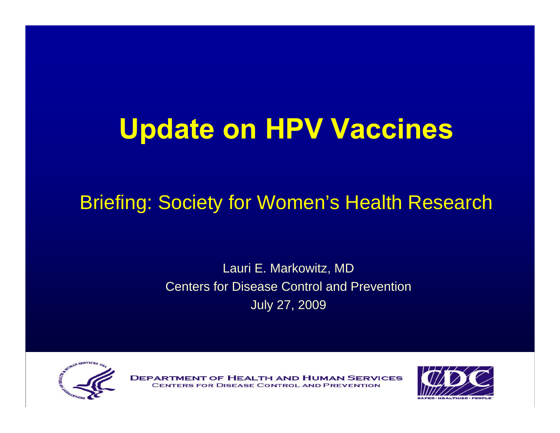## **Update on HPV Vaccines**

#### Briefing: Society for Women's Health Research

#### Lauri E. Markowitz, MD Centers for Disease Control and PreventionJuly 27, 2009



**DEPA F HEALTH AND HUMAN SERVICES DISEASE CONTROL AND PREVENTION** 

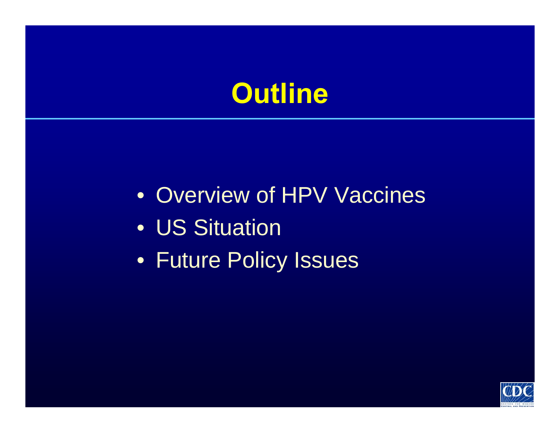### **Outline**

- Overview of HPV Vaccines
- US Situation
- Future Policy Issues

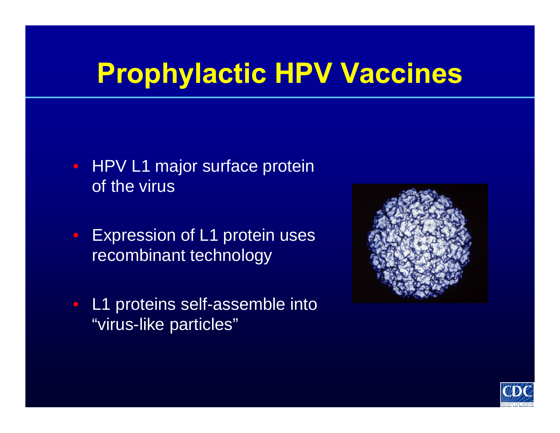## **Prophylactic HPV Vaccines**

- HPV L1 major surface protein of the virus
- Expression of L1 protein uses recombinant technology
- L1 proteins self-assemble into "virus-like particles"



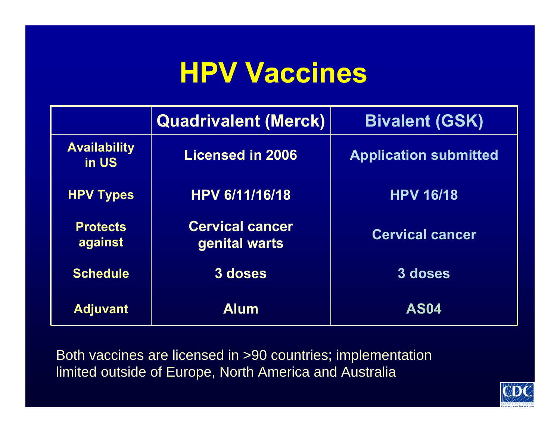## **HPV Vaccines**

|                              | <b>Quadrivalent (Merck)</b>             | <b>Bivalent (GSK)</b>        |
|------------------------------|-----------------------------------------|------------------------------|
| <b>Availability</b><br>in US | <b>Licensed in 2006</b>                 | <b>Application submitted</b> |
| <b>HPV Types</b>             | <b>HPV 6/11/16/18</b>                   | <b>HPV 16/18</b>             |
| <b>Protects</b><br>against   | <b>Cervical cancer</b><br>genital warts | <b>Cervical cancer</b>       |
| <b>Schedule</b>              | 3 doses                                 | 3 doses                      |
| <b>Adjuvant</b>              | <b>Alum</b>                             | <b>AS04</b>                  |

Both vaccines are licensed in >90 countries; implementation limited outside of Europe, North America and Australia

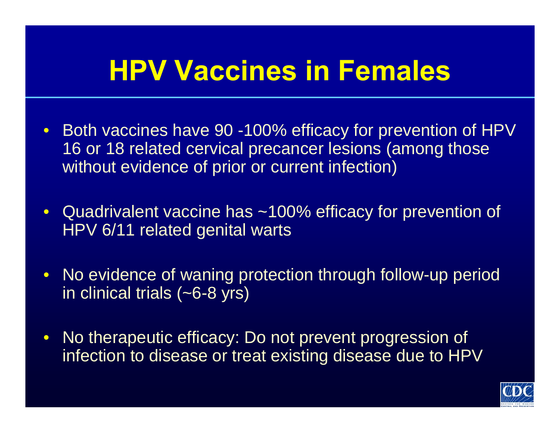## **HPV Vaccines in Females**

- Both vaccines have 90 -100% efficacy for prevention of HPV 16 or 18 related cervical precancer lesions (among those without evidence of prior or current infection)
- Quadrivalent vaccine has ~100% efficacy for prevention of HPV 6/11 related genital warts
- No evidence of waning protection through follow-up period in clinical trials (~6-8 yrs)
- No therapeutic efficacy: Do not prevent progression of infection to disease or treat existing disease due to HPV

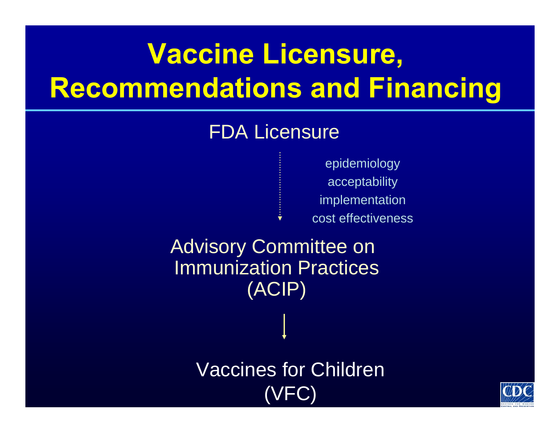# **Vaccine Licensure, Recommendations and Financing**

#### FDA Licensure

epidemiology acceptability implementation cost effectiveness

Advisory Committee on Immunization Practices (ACIP)

> Vaccines for Children (VFC)

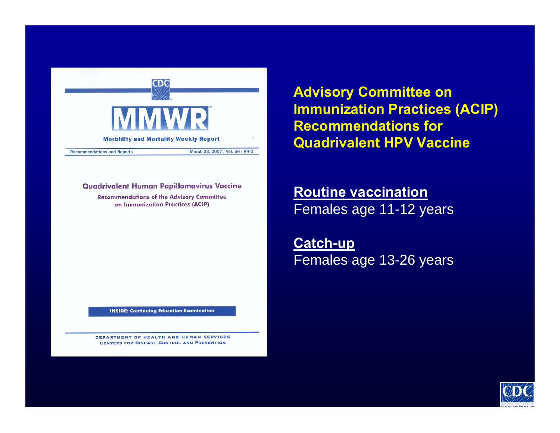

**Advisory Committee on Immunization Practices (ACIP) Recommendations for Quadrivalent HPV Vaccine**

#### **Quadrivalent Human Papillomavirus Vaccine**

**Recommendations of the Advisory Committee** on Immunization Practices (ACIP)

**INSIDE: Continuing Education Examination** 

DEPARTMENT OF HEALTH AND HUMAN SERVICES **CENTERS FOR DISEASE CONTROL AND PREVENTION** 

**Routine vaccination** Females age 11-12 years

**Catch-up** Females age 13-26 years

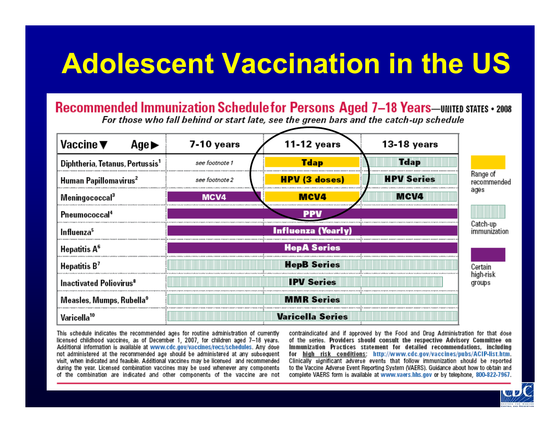# **Adolescent Vaccination in the US**

#### Recommended Immunization Schedule for Persons Aged 7-18 Years-UNITED STATES . 2008

For those who fall behind or start late, see the green bars and the catch-up schedule



This schedule indicates the recommended ages for routine administration of currently licensed childhood vaccines, as of December 1, 2007, for children aged 7-18 years. Additional information is available at www.cdc.gov/vaccines/recs/schedules. Any dose not administered at the recommended age should be administered at any subsequent visit, when indicated and feasible. Additional vaccines may be licensed and recommended during the year. Licensed combination vaccines may be used whenever any components of the combination are indicated and other components of the vaccine are not

contraindicated and if approved by the Food and Drug Administration for that dose of the series. Providers should consult the respective Advisory Committee on Immunization Practices statement for detailed recommendations, including for high risk conditions: http://www.cdc.gov/vaccines/pubs/ACIP-list.htm. Clinically significant adverse events that follow immunization should be reported to the Vaccine Adverse Event Reporting System (VAERS). Guidance about how to obtain and complete VAERS form is available at www.vaers.hhs.gov or by telephone, 800-822-7967.

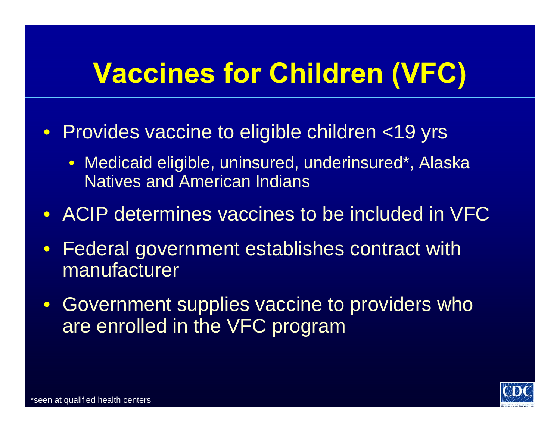# **Vaccines for Children (VFC)**

- Provides vaccine to eligible children <19 yrs
	- Medicaid eligible, uninsured, underinsured\*, Alaska Natives and American Indians
- ACIP determines vaccines to be included in VFC
- Federal government establishes contract with manufacturer
- Government supplies vaccine to providers who are enrolled in the VFC program

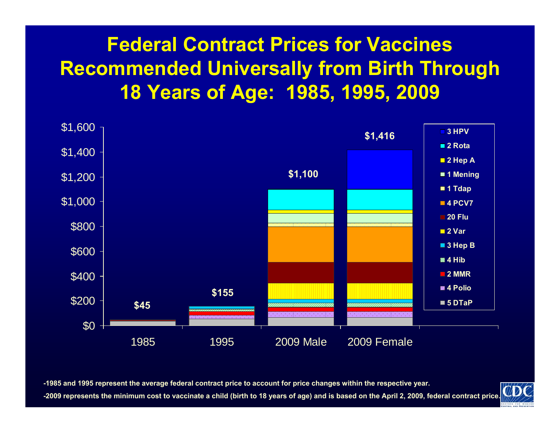#### **Federal Contract Prices for Vaccines Recommended Universally from Birth Through 18 Years of Age: 1985, 1995, 2009**



**-1985 and 1995 represent the average federal contract price to account for price changes within the respective year.** 

**-2009 represents the minimum cost to vaccinate a child (birth to 18 years of age) and is based on the April 2, 2009, federal contract price.**

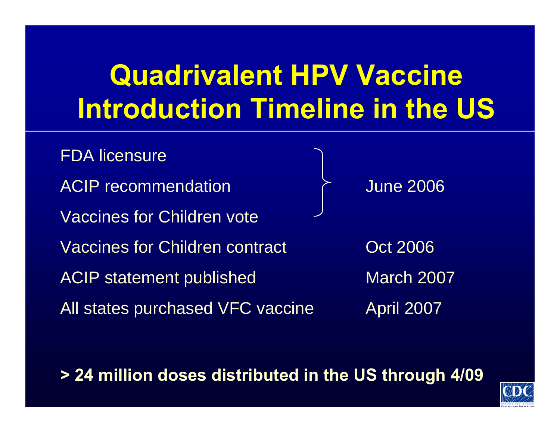# **Quadrivalent HPV Vaccine Introduction Timeline in the US**

FDA licensure ACIP recommendation **ACIP** 1 June 2006 Vaccines for Children voteVaccines for Children contract Common Context 2006 ACIP statement published March 2007 All states purchased VFC vaccine April 2007

**> 24 million doses distributed in the US through 4/09**

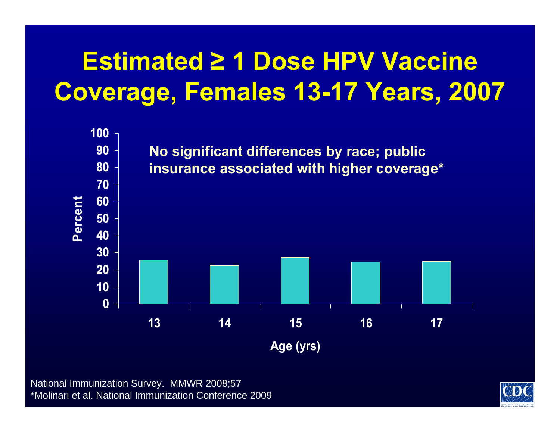## **Estimated ≥ 1 Dose HPV Vaccine Coverage, Females 13-17 Years, 2007**



National Immunization Survey. MMWR 2008;57 \*Molinari et al. National Immunization Conference 2009

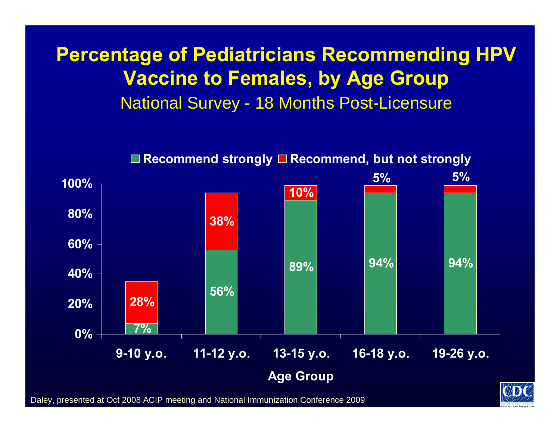#### **Percentage of Pediatricians Recommending HPV Vaccine to Females, by Age Group**  National Survey - 18 Months Post-Licensure



**■ Recommend strongly ■ Recommend, but not strongly** 

Daley, presented at Oct 2008 ACIP meeting and National Immunization Conference 2009

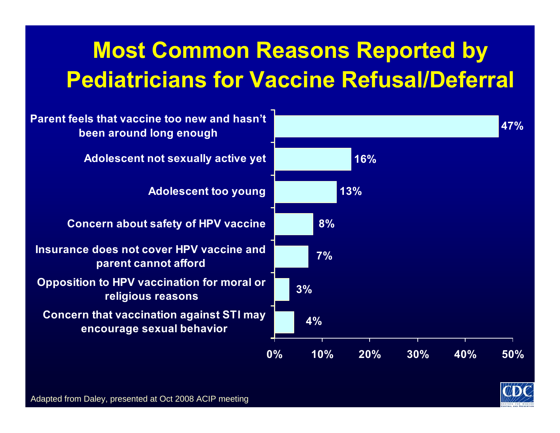#### **Most Common Reasons Reported by Pediatricians for Vaccine Refusal/Deferral**



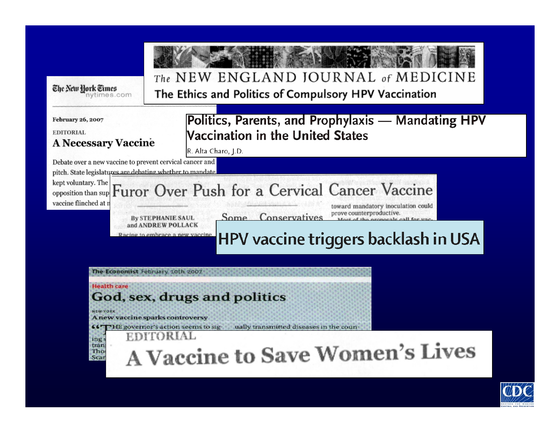| The New York Times                                                                                                                     | The NEW ENGLAND JOURNAL of MEDICINE                                                                                                                                                                                                                                   |  |  |
|----------------------------------------------------------------------------------------------------------------------------------------|-----------------------------------------------------------------------------------------------------------------------------------------------------------------------------------------------------------------------------------------------------------------------|--|--|
| nytimes.com                                                                                                                            | The Ethics and Politics of Compulsory HPV Vaccination                                                                                                                                                                                                                 |  |  |
| <b>February 26, 2007</b><br><b>EDITORIAL</b><br><b>A Necessary Vaccine</b><br>Debate over a new vaccine to prevent cervical cancer and | Politics, Parents, and Prophylaxis - Mandating HPV<br>Vaccination in the United States<br>R. Alta Charo, J.D.                                                                                                                                                         |  |  |
| pitch. State legislatures are debating whether to mandate<br>kept voluntary. The<br>opposition than sup<br>vaccine flinched at n       | Furor Over Push for a Cervical Cancer Vaccine<br>toward mandatory inoculation could<br>prove counterproductive.<br>Conservatives<br>Some<br><b>By STEPHANIE SAUL</b><br>and ANDREW POLLACK<br>acing to embrace a new vaccine.<br>HPV vaccine triggers backlash in USA |  |  |
| <b>Health care</b>                                                                                                                     | The Economist February 10th 2007                                                                                                                                                                                                                                      |  |  |
| <b>NEW YORK</b>                                                                                                                        | God, sex, drugs and politics                                                                                                                                                                                                                                          |  |  |
| GG.                                                                                                                                    | A new vaccine sparks controversy                                                                                                                                                                                                                                      |  |  |
| ing                                                                                                                                    | ually transmitted diseases in the coun-                                                                                                                                                                                                                               |  |  |
| tran                                                                                                                                   | "HE governor's action seems to sig-                                                                                                                                                                                                                                   |  |  |
| Tho                                                                                                                                    | EDITORIAL                                                                                                                                                                                                                                                             |  |  |
| Scar                                                                                                                                   | A Vaccine to Save Women's Lives                                                                                                                                                                                                                                       |  |  |

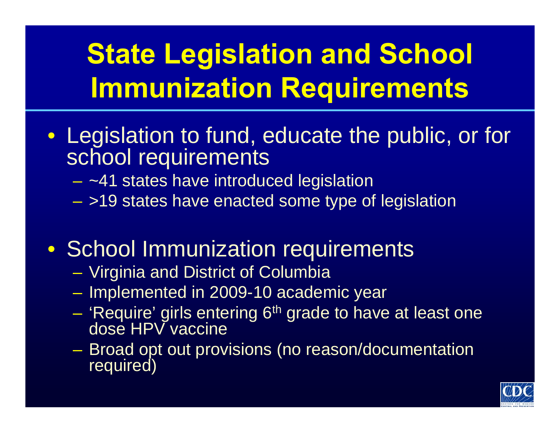# **State Legislation and School Immunization Requirements**

- Legislation to fund, educate the public, or for school requirements
	- ~41 states have introduced legislation
	- >19 states have enacted some type of legislation
- School Immunization requirements
	- Virginia and District of Columbia
	- Implemented in 2009-10 academic year
	- 'Require' girls entering 6<sup>th</sup> grade to have at least one dose HPV vaccine
	- Broad opt out provisions (no reason/documentation required)

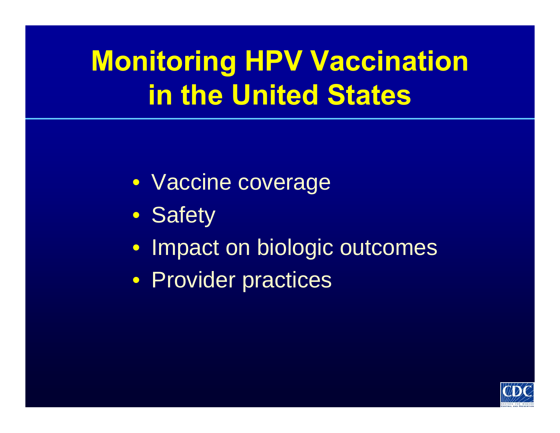# **Monitoring HPV Vaccination in the United States**

- Vaccine coverage
- Safety
- Impact on biologic outcomes
- Provider practices

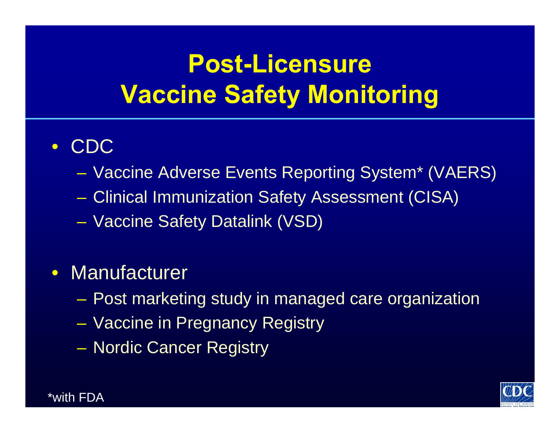## **Post-Licensure Vaccine Safety Monitoring**

#### • CDC

- Vaccine Adverse Events Reporting System\* (VAERS)
- Clinical Immunization Safety Assessment (CISA)
- Vaccine Safety Datalink (VSD)

#### • Manufacturer

- Post marketing study in managed care organization
- Vaccine in Pregnancy Registry
- Nordic Cancer Registry



\*with FDA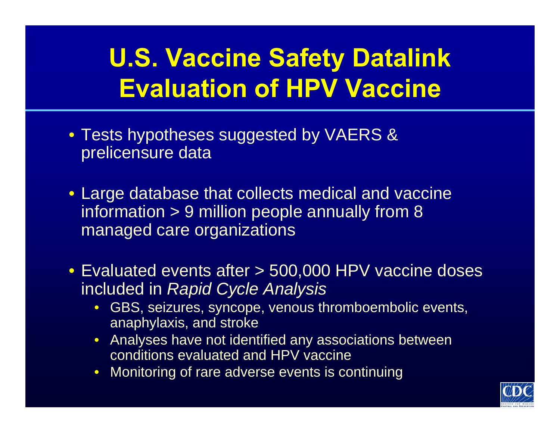### **U.S. Vaccine Safety Datalink Evaluation of HPV Vaccine**

- Tests hypotheses suggested by VAERS & prelicensure data
- Large database that collects medical and vaccine information > 9 million people annually from 8 managed care organizations
- Evaluated events after > 500,000 HPV vaccine doses included in *Rapid Cycle Analysis*
	- GBS, seizures, syncope, venous thromboembolic events, anaphylaxis, and stroke
	- Analyses have not identified any associations between conditions evaluated and HPV vaccine
	- Monitoring of rare adverse events is continuing

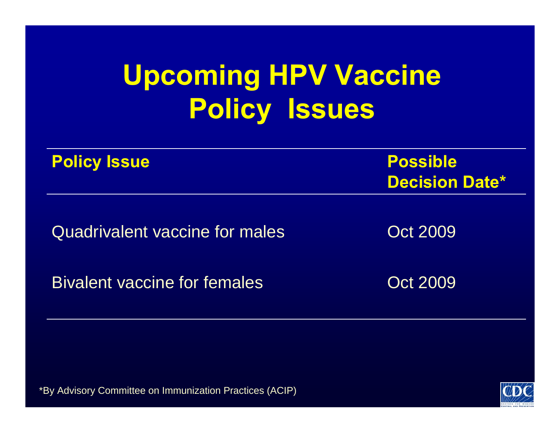# **Upcoming HPV Vaccine Policy Issues**

| <b>Policy Issue</b>                   | <b>Possible</b><br><b>Decision Date*</b> |
|---------------------------------------|------------------------------------------|
| <b>Quadrivalent vaccine for males</b> | <b>Oct 2009</b>                          |
| <b>Bivalent vaccine for females</b>   | <b>Oct 2009</b>                          |

\*By Advisory Committee on Immunization Practices (ACIP)

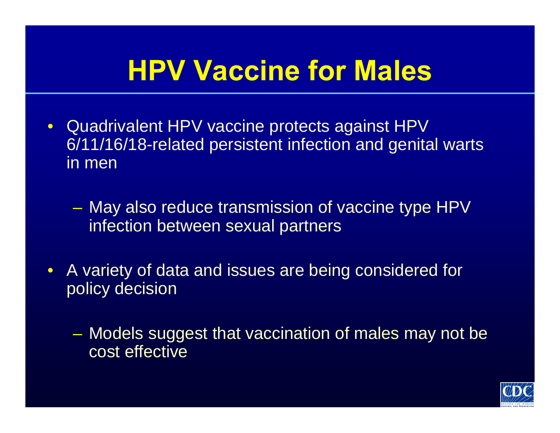# **HPV Vaccine for Males**

- Quadrivalent HPV vaccine protects against HPV 6/11/16/18-related persistent infection and genital warts in men
	- May also reduce transmission of vaccine type HPV infection between sexual partners
- A variety of data and issues are being considered for policy decision
	- Models suggest that vaccination of males may not be cost effective

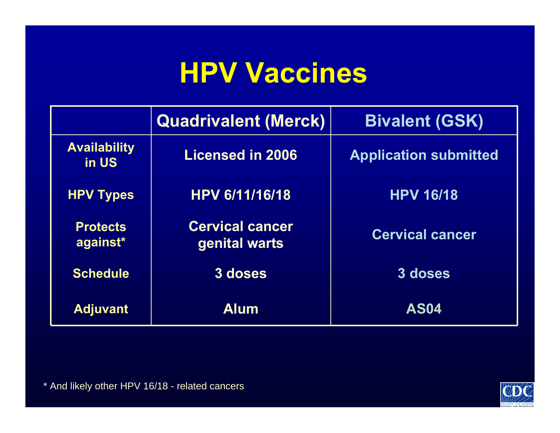## **HPV Vaccines**

|                              | <b>Quadrivalent (Merck)</b>             | <b>Bivalent (GSK)</b>        |
|------------------------------|-----------------------------------------|------------------------------|
| <b>Availability</b><br>in US | <b>Licensed in 2006</b>                 | <b>Application submitted</b> |
| <b>HPV Types</b>             | <b>HPV 6/11/16/18</b>                   | <b>HPV 16/18</b>             |
| <b>Protects</b><br>against*  | <b>Cervical cancer</b><br>genital warts | <b>Cervical cancer</b>       |
| <b>Schedule</b>              | 3 doses                                 | 3 doses                      |
| <b>Adjuvant</b>              | <b>Alum</b>                             | <b>AS04</b>                  |

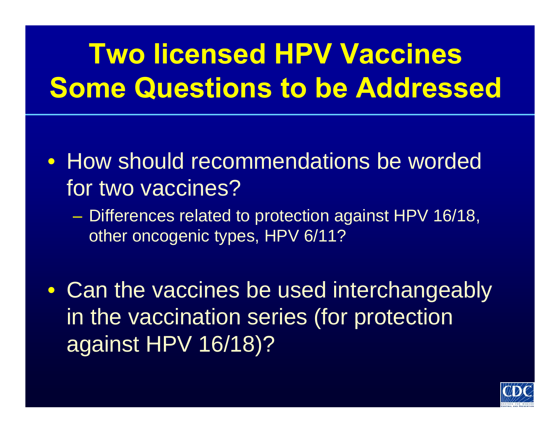# **Two licensed HPV VaccinesSome Questions to be Addressed**

- How should recommendations be worded for two vaccines?
	- Differences related to protection against HPV 16/18, other oncogenic types, HPV 6/11?
- Can the vaccines be used interchangeably in the vaccination series (for protection against HPV 16/18)?